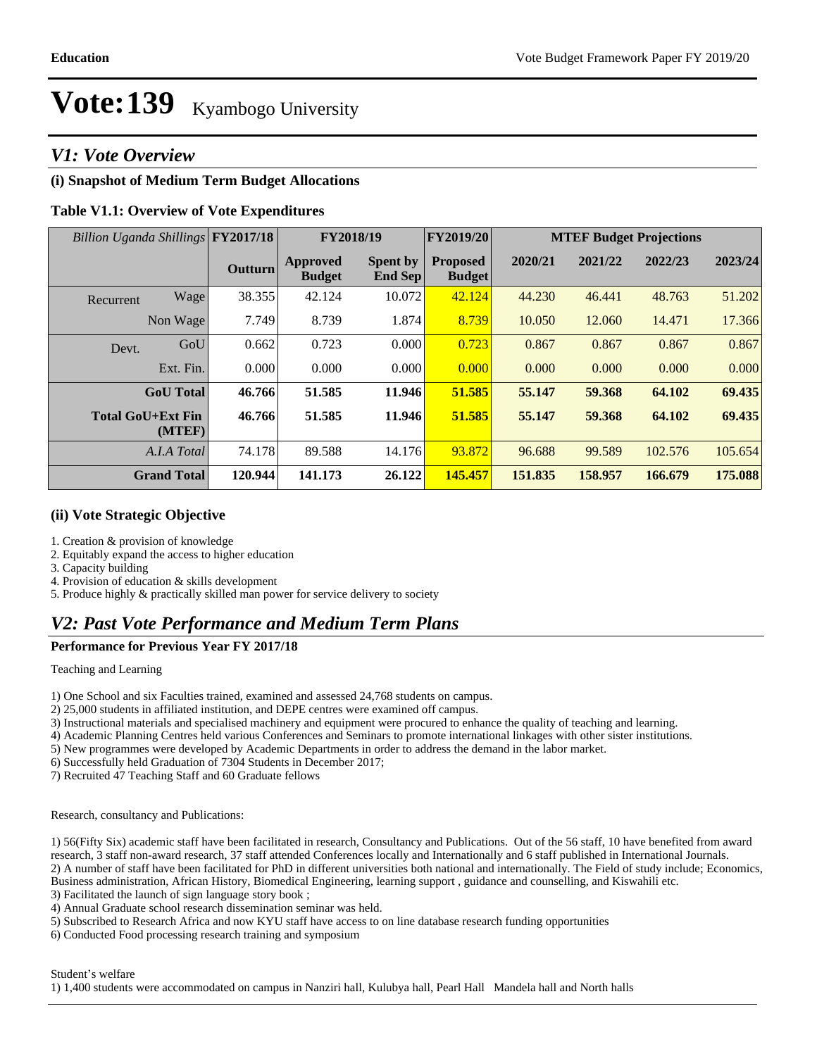### *V1: Vote Overview*

#### **(i) Snapshot of Medium Term Budget Allocations**

#### **Table V1.1: Overview of Vote Expenditures**

| Billion Uganda Shillings FY2017/18 |         | FY2018/19                        |                            | FY2019/20                        | <b>MTEF Budget Projections</b> |         |         |         |
|------------------------------------|---------|----------------------------------|----------------------------|----------------------------------|--------------------------------|---------|---------|---------|
|                                    | Outturn | <b>Approved</b><br><b>Budget</b> | <b>Spent by</b><br>End Sep | <b>Proposed</b><br><b>Budget</b> | 2020/21                        | 2021/22 | 2022/23 | 2023/24 |
| Wage<br>Recurrent                  | 38.355  | 42.124                           | 10.072                     | 42.124                           | 44.230                         | 46.441  | 48.763  | 51.202  |
| Non Wage                           | 7.749   | 8.739                            | 1.874                      | 8.739                            | 10.050                         | 12.060  | 14.471  | 17.366  |
| GoU<br>Devt.                       | 0.662   | 0.723                            | 0.000                      | 0.723                            | 0.867                          | 0.867   | 0.867   | 0.867   |
| Ext. Fin.                          | 0.000   | 0.000                            | 0.000                      | 0.000                            | 0.000                          | 0.000   | 0.000   | 0.000   |
| <b>GoU</b> Total                   | 46.766  | 51.585                           | 11.946                     | 51.585                           | 55.147                         | 59.368  | 64.102  | 69.435  |
| <b>Total GoU+Ext Fin</b><br>(MTEF) | 46.766  | 51.585                           | 11.946                     | 51.585                           | 55.147                         | 59.368  | 64.102  | 69.435  |
| A.I.A Total                        | 74.178  | 89.588                           | 14.176                     | 93.872                           | 96.688                         | 99.589  | 102.576 | 105.654 |
| <b>Grand Total</b>                 | 120.944 | 141.173                          | 26.122                     | 145.457                          | 151.835                        | 158.957 | 166.679 | 175.088 |

#### **(ii) Vote Strategic Objective**

1. Creation & provision of knowledge

2. Equitably expand the access to higher education

3. Capacity building

4. Provision of education & skills development

5. Produce highly & practically skilled man power for service delivery to society

### *V2: Past Vote Performance and Medium Term Plans*

### **Performance for Previous Year FY 2017/18**

Teaching and Learning

1) One School and six Faculties trained, examined and assessed 24,768 students on campus.

2) 25,000 students in affiliated institution, and DEPE centres were examined off campus.

3) Instructional materials and specialised machinery and equipment were procured to enhance the quality of teaching and learning.

4) Academic Planning Centres held various Conferences and Seminars to promote international linkages with other sister institutions.

5) New programmes were developed by Academic Departments in order to address the demand in the labor market.

6) Successfully held Graduation of 7304 Students in December 2017;

7) Recruited 47 Teaching Staff and 60 Graduate fellows

Research, consultancy and Publications:

1) 56(Fifty Six) academic staff have been facilitated in research, Consultancy and Publications. Out of the 56 staff, 10 have benefited from award research, 3 staff non-award research, 37 staff attended Conferences locally and Internationally and 6 staff published in International Journals. 2) A number of staff have been facilitated for PhD in different universities both national and internationally. The Field of study include; Economics, Business administration, African History, Biomedical Engineering, learning support , guidance and counselling, and Kiswahili etc.

3) Facilitated the launch of sign language story book ;

4) Annual Graduate school research dissemination seminar was held.

5) Subscribed to Research Africa and now KYU staff have access to on line database research funding opportunities

6) Conducted Food processing research training and symposium

Student's welfare

1) 1,400 students were accommodated on campus in Nanziri hall, Kulubya hall, Pearl Hall Mandela hall and North halls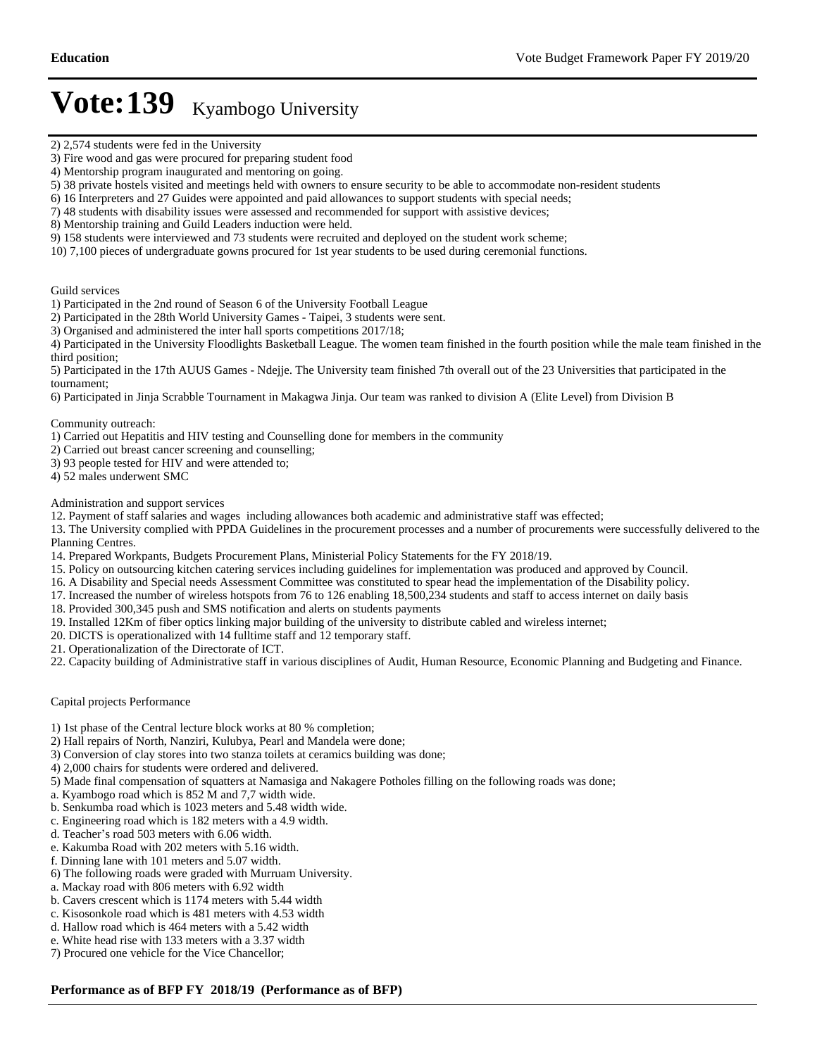Guild services

1) Participated in the 2nd round of Season 6 of the University Football League

2) Participated in the 28th World University Games - Taipei, 3 students were sent.

3) Organised and administered the inter hall sports competitions 2017/18;

4) Participated in the University Floodlights Basketball League. The women team finished in the fourth position while the male team finished in the third position;

5) Participated in the 17th AUUS Games - Ndejje. The University team finished 7th overall out of the 23 Universities that participated in the tournament;

6) Participated in Jinja Scrabble Tournament in Makagwa Jinja. Our team was ranked to division A (Elite Level) from Division B

Community outreach:

1) Carried out Hepatitis and HIV testing and Counselling done for members in the community

- 2) Carried out breast cancer screening and counselling;
- 3) 93 people tested for HIV and were attended to;
- 4) 52 males underwent SMC

Administration and support services

12. Payment of staff salaries and wages including allowances both academic and administrative staff was effected;

13. The University complied with PPDA Guidelines in the procurement processes and a number of procurements were successfully delivered to the Planning Centres.

- 14. Prepared Workpants, Budgets Procurement Plans, Ministerial Policy Statements for the FY 2018/19.
- 15. Policy on outsourcing kitchen catering services including guidelines for implementation was produced and approved by Council.
- 16. A Disability and Special needs Assessment Committee was constituted to spear head the implementation of the Disability policy.
- 17. Increased the number of wireless hotspots from 76 to 126 enabling 18,500,234 students and staff to access internet on daily basis
- 18. Provided 300,345 push and SMS notification and alerts on students payments
- 19. Installed 12Km of fiber optics linking major building of the university to distribute cabled and wireless internet;
- 20. DICTS is operationalized with 14 fulltime staff and 12 temporary staff.
- 21. Operationalization of the Directorate of ICT.
- 22. Capacity building of Administrative staff in various disciplines of Audit, Human Resource, Economic Planning and Budgeting and Finance.

#### Capital projects Performance

- 1) 1st phase of the Central lecture block works at 80 % completion;
- 2) Hall repairs of North, Nanziri, Kulubya, Pearl and Mandela were done;
- 3) Conversion of clay stores into two stanza toilets at ceramics building was done;
- 4) 2,000 chairs for students were ordered and delivered.
- 5) Made final compensation of squatters at Namasiga and Nakagere Potholes filling on the following roads was done;
- a. Kyambogo road which is 852 M and 7,7 width wide.
- b. Senkumba road which is 1023 meters and 5.48 width wide.
- c. Engineering road which is 182 meters with a 4.9 width.
- d. Teacher's road 503 meters with 6.06 width.
- e. Kakumba Road with 202 meters with 5.16 width.
- f. Dinning lane with 101 meters and 5.07 width.
- 6) The following roads were graded with Murruam University.
- a. Mackay road with 806 meters with 6.92 width
- b. Cavers crescent which is 1174 meters with 5.44 width
- c. Kisosonkole road which is 481 meters with 4.53 width
- d. Hallow road which is 464 meters with a 5.42 width
- e. White head rise with 133 meters with a 3.37 width
- 7) Procured one vehicle for the Vice Chancellor;

#### **Performance as of BFP FY 2018/19 (Performance as of BFP)**

<sup>2) 2,574</sup> students were fed in the University

<sup>3)</sup> Fire wood and gas were procured for preparing student food

<sup>4)</sup> Mentorship program inaugurated and mentoring on going.

<sup>5) 38</sup> private hostels visited and meetings held with owners to ensure security to be able to accommodate non-resident students

<sup>6) 16</sup> Interpreters and 27 Guides were appointed and paid allowances to support students with special needs;

<sup>7) 48</sup> students with disability issues were assessed and recommended for support with assistive devices;

<sup>8)</sup> Mentorship training and Guild Leaders induction were held.

<sup>9) 158</sup> students were interviewed and 73 students were recruited and deployed on the student work scheme;

<sup>10) 7,100</sup> pieces of undergraduate gowns procured for 1st year students to be used during ceremonial functions.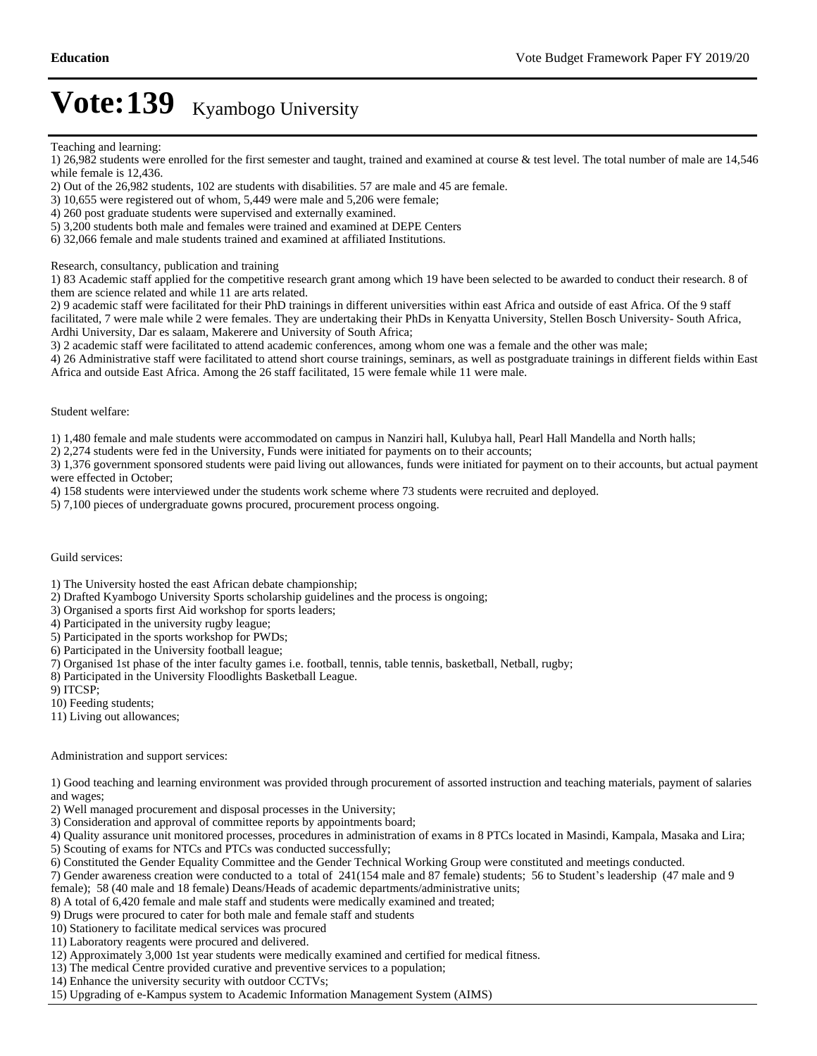- 1) 26,982 students were enrolled for the first semester and taught, trained and examined at course & test level. The total number of male are 14,546 while female is 12,436.
- 2) Out of the 26,982 students, 102 are students with disabilities. 57 are male and 45 are female.
- 3) 10,655 were registered out of whom, 5,449 were male and 5,206 were female;
- 4) 260 post graduate students were supervised and externally examined.
- 5) 3,200 students both male and females were trained and examined at DEPE Centers
- 6) 32,066 female and male students trained and examined at affiliated Institutions.

Research, consultancy, publication and training

1) 83 Academic staff applied for the competitive research grant among which 19 have been selected to be awarded to conduct their research. 8 of them are science related and while 11 are arts related.

2) 9 academic staff were facilitated for their PhD trainings in different universities within east Africa and outside of east Africa. Of the 9 staff facilitated, 7 were male while 2 were females. They are undertaking their PhDs in Kenyatta University, Stellen Bosch University- South Africa, Ardhi University, Dar es salaam, Makerere and University of South Africa;

3) 2 academic staff were facilitated to attend academic conferences, among whom one was a female and the other was male;

4) 26 Administrative staff were facilitated to attend short course trainings, seminars, as well as postgraduate trainings in different fields within East Africa and outside East Africa. Among the 26 staff facilitated, 15 were female while 11 were male.

#### Student welfare:

1) 1,480 female and male students were accommodated on campus in Nanziri hall, Kulubya hall, Pearl Hall Mandella and North halls;

2) 2,274 students were fed in the University, Funds were initiated for payments on to their accounts;

3) 1,376 government sponsored students were paid living out allowances, funds were initiated for payment on to their accounts, but actual payment were effected in October;

4) 158 students were interviewed under the students work scheme where 73 students were recruited and deployed.

5) 7,100 pieces of undergraduate gowns procured, procurement process ongoing.

#### Guild services:

1) The University hosted the east African debate championship;

2) Drafted Kyambogo University Sports scholarship guidelines and the process is ongoing;

- 3) Organised a sports first Aid workshop for sports leaders;
- 4) Participated in the university rugby league;
- 5) Participated in the sports workshop for PWDs;
- 6) Participated in the University football league;
- 7) Organised 1st phase of the inter faculty games i.e. football, tennis, table tennis, basketball, Netball, rugby;
- 8) Participated in the University Floodlights Basketball League.

9) ITCSP;

10) Feeding students;

11) Living out allowances;

#### Administration and support services:

1) Good teaching and learning environment was provided through procurement of assorted instruction and teaching materials, payment of salaries and wages;

- 2) Well managed procurement and disposal processes in the University;
- 3) Consideration and approval of committee reports by appointments board;

4) Quality assurance unit monitored processes, procedures in administration of exams in 8 PTCs located in Masindi, Kampala, Masaka and Lira; 5) Scouting of exams for NTCs and PTCs was conducted successfully;

- 6) Constituted the Gender Equality Committee and the Gender Technical Working Group were constituted and meetings conducted.
- 7) Gender awareness creation were conducted to a total of 241(154 male and 87 female) students; 56 to Student's leadership (47 male and 9 female); 58 (40 male and 18 female) Deans/Heads of academic departments/administrative units;
- 8) A total of 6,420 female and male staff and students were medically examined and treated;
- 9) Drugs were procured to cater for both male and female staff and students
- 10) Stationery to facilitate medical services was procured
- 11) Laboratory reagents were procured and delivered.
- 12) Approximately 3,000 1st year students were medically examined and certified for medical fitness.
- 13) The medical Centre provided curative and preventive services to a population;
- 14) Enhance the university security with outdoor CCTVs;
- 15) Upgrading of e-Kampus system to Academic Information Management System (AIMS)

Teaching and learning: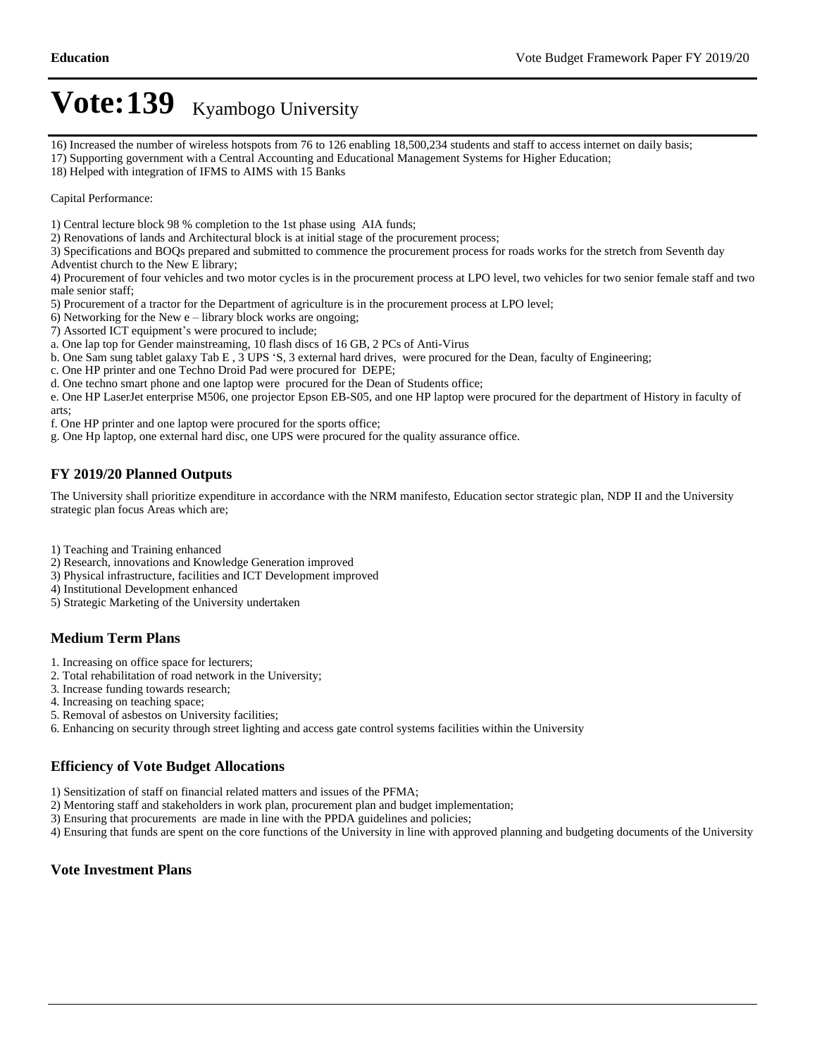16) Increased the number of wireless hotspots from 76 to 126 enabling 18,500,234 students and staff to access internet on daily basis;

17) Supporting government with a Central Accounting and Educational Management Systems for Higher Education;

18) Helped with integration of IFMS to AIMS with 15 Banks

Capital Performance:

1) Central lecture block 98 % completion to the 1st phase using AIA funds;

2) Renovations of lands and Architectural block is at initial stage of the procurement process;

3) Specifications and BOQs prepared and submitted to commence the procurement process for roads works for the stretch from Seventh day Adventist church to the New E library;

4) Procurement of four vehicles and two motor cycles is in the procurement process at LPO level, two vehicles for two senior female staff and two male senior staff;

5) Procurement of a tractor for the Department of agriculture is in the procurement process at LPO level;

6) Networking for the New  $e$  – library block works are ongoing;

7) Assorted ICT equipment's were procured to include;

a. One lap top for Gender mainstreaming, 10 flash discs of 16 GB, 2 PCs of Anti-Virus

b. One Sam sung tablet galaxy Tab E,  $3$  UPS 'S, 3 external hard drives, were procured for the Dean, faculty of Engineering;

c. One HP printer and one Techno Droid Pad were procured for DEPE;

d. One techno smart phone and one laptop were procured for the Dean of Students office;

e. One HP LaserJet enterprise M506, one projector Epson EB-S05, and one HP laptop were procured for the department of History in faculty of arts;

f. One HP printer and one laptop were procured for the sports office;

g. One Hp laptop, one external hard disc, one UPS were procured for the quality assurance office.

### **FY 2019/20 Planned Outputs**

The University shall prioritize expenditure in accordance with the NRM manifesto, Education sector strategic plan, NDP II and the University strategic plan focus Areas which are;

1) Teaching and Training enhanced

- 2) Research, innovations and Knowledge Generation improved
- 3) Physical infrastructure, facilities and ICT Development improved

4) Institutional Development enhanced

5) Strategic Marketing of the University undertaken

#### **Medium Term Plans**

1. Increasing on office space for lecturers;

2. Total rehabilitation of road network in the University;

- 3. Increase funding towards research;
- 4. Increasing on teaching space;
- 5. Removal of asbestos on University facilities;

6. Enhancing on security through street lighting and access gate control systems facilities within the University

#### **Efficiency of Vote Budget Allocations**

1) Sensitization of staff on financial related matters and issues of the PFMA;

2) Mentoring staff and stakeholders in work plan, procurement plan and budget implementation;

3) Ensuring that procurements are made in line with the PPDA guidelines and policies;

4) Ensuring that funds are spent on the core functions of the University in line with approved planning and budgeting documents of the University

#### **Vote Investment Plans**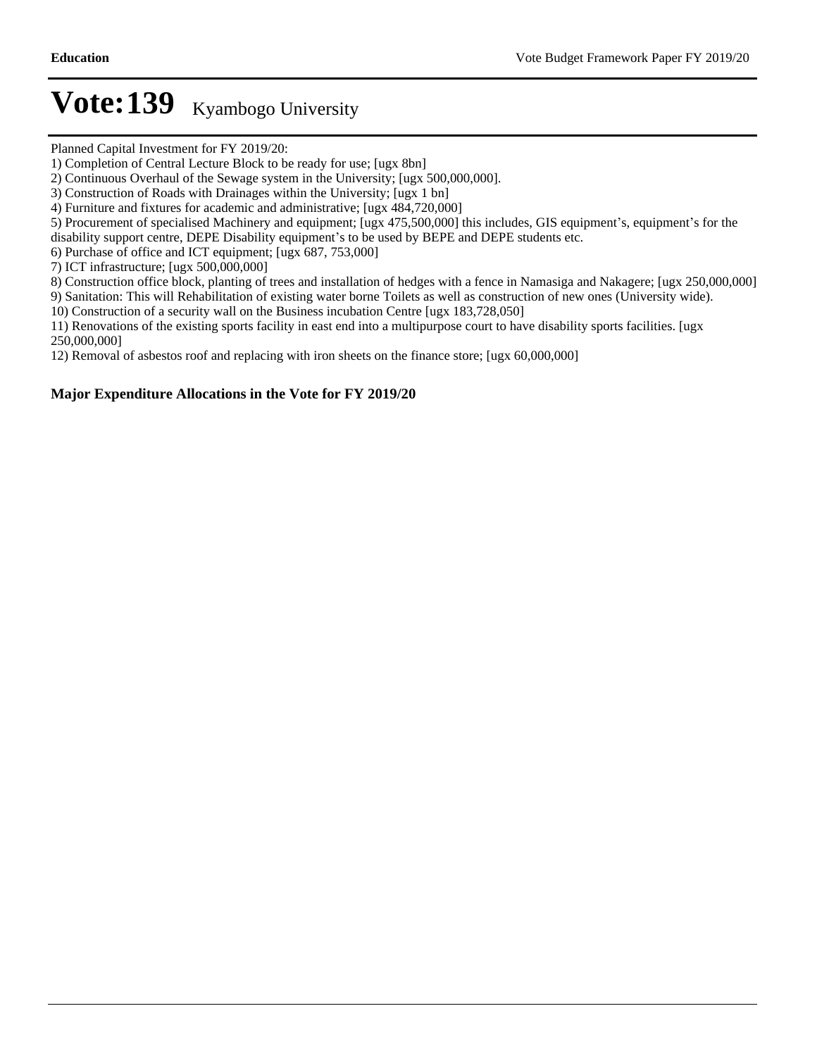Planned Capital Investment for FY 2019/20:

2) Continuous Overhaul of the Sewage system in the University; [ugx 500,000,000].

4) Furniture and fixtures for academic and administrative; [ugx 484,720,000]

5) Procurement of specialised Machinery and equipment;  $[ugx 475,500,000]$  this includes, GIS equipment's, equipment's for the

disability support centre, DEPE Disability equipment's to be used by BEPE and DEPE students etc.

6) Purchase of office and ICT equipment; [ugx 687, 753,000]

7) ICT infrastructure; [ugx 500,000,000]

8) Construction office block, planting of trees and installation of hedges with a fence in Namasiga and Nakagere; [ugx 250,000,000]

9) Sanitation: This will Rehabilitation of existing water borne Toilets as well as construction of new ones (University wide).

10) Construction of a security wall on the Business incubation Centre [ugx 183,728,050]

11) Renovations of the existing sports facility in east end into a multipurpose court to have disability sports facilities. [ugx 250,000,000]

12) Removal of asbestos roof and replacing with iron sheets on the finance store; [ugx 60,000,000]

#### **Major Expenditure Allocations in the Vote for FY 2019/20**

<sup>1)</sup> Completion of Central Lecture Block to be ready for use; [ugx 8bn]

<sup>3)</sup> Construction of Roads with Drainages within the University; [ugx 1 bn]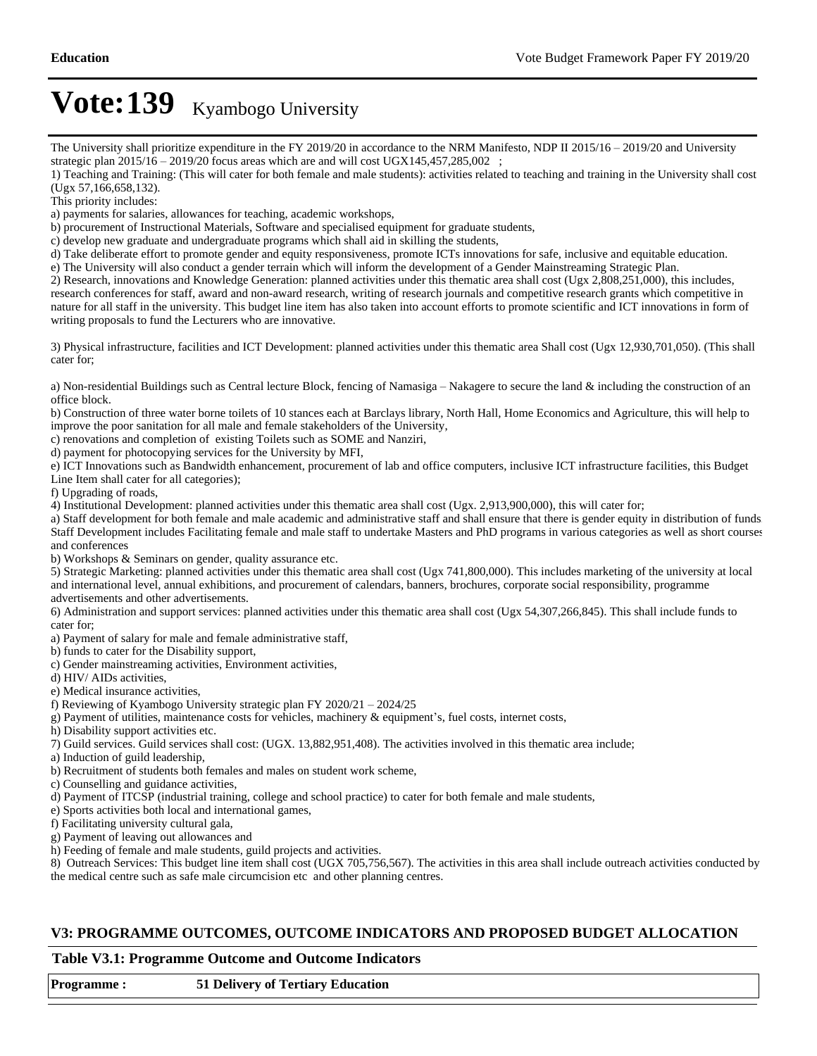The University shall prioritize expenditure in the FY 2019/20 in accordance to the NRM Manifesto, NDP II 2015/16 - 2019/20 and University strategic plan  $2015/16 - 2019/20$  focus areas which are and will cost UGX145,457,285,002 ;

1) Teaching and Training: (This will cater for both female and male students): activities related to teaching and training in the University shall cost (Ugx 57,166,658,132).

This priority includes:

a) payments for salaries, allowances for teaching, academic workshops,

b) procurement of Instructional Materials, Software and specialised equipment for graduate students,

c) develop new graduate and undergraduate programs which shall aid in skilling the students,

d) Take deliberate effort to promote gender and equity responsiveness, promote ICTs innovations for safe, inclusive and equitable education.

e) The University will also conduct a gender terrain which will inform the development of a Gender Mainstreaming Strategic Plan.

2) Research, innovations and Knowledge Generation: planned activities under this thematic area shall cost (Ugx 2,808,251,000), this includes, research conferences for staff, award and non-award research, writing of research journals and competitive research grants which competitive in nature for all staff in the university. This budget line item has also taken into account efforts to promote scientific and ICT innovations in form of writing proposals to fund the Lecturers who are innovative.

3) Physical infrastructure, facilities and ICT Development: planned activities under this thematic area Shall cost (Ugx 12,930,701,050). (This shall cater for;

a) Non-residential Buildings such as Central lecture Block, fencing of Namasiga  $-$ Nakagere to secure the land  $\&$  including the construction of an office block.

b) Construction of three water borne toilets of 10 stances each at Barclays library, North Hall, Home Economics and Agriculture, this will help to improve the poor sanitation for all male and female stakeholders of the University,

c) renovations and completion of existing Toilets such as SOME and Nanziri,

d) payment for photocopying services for the University by MFI,

e) ICT Innovations such as Bandwidth enhancement, procurement of lab and office computers, inclusive ICT infrastructure facilities, this Budget Line Item shall cater for all categories);

f) Upgrading of roads,

4) Institutional Development: planned activities under this thematic area shall cost (Ugx. 2,913,900,000), this will cater for;

a) Staff development for both female and male academic and administrative staff and shall ensure that there is gender equity in distribution of funds. Staff Development includes Facilitating female and male staff to undertake Masters and PhD programs in various categories as well as short courses and conferences

b) Workshops & Seminars on gender, quality assurance etc.

5) Strategic Marketing: planned activities under this thematic area shall cost (Ugx 741,800,000). This includes marketing of the university at local and international level, annual exhibitions, and procurement of calendars, banners, brochures, corporate social responsibility, programme advertisements and other advertisements.

6) Administration and support services: planned activities under this thematic area shall cost (Ugx 54,307,266,845). This shall include funds to cater for;

a) Payment of salary for male and female administrative staff,

b) funds to cater for the Disability support,

c) Gender mainstreaming activities, Environment activities,

d) HIV/ AIDs activities,

e) Medical insurance activities,

f) Reviewing of Kyambogo University strategic plan FY 2020/21  $-$  2024/25

g) Payment of utilities, maintenance costs for vehicles, machinery & equipment's, fuel costs, internet costs,

h) Disability support activities etc.

7) Guild services. Guild services shall cost: (UGX. 13,882,951,408). The activities involved in this thematic area include;

a) Induction of guild leadership,

b) Recruitment of students both females and males on student work scheme,

c) Counselling and guidance activities,

d) Payment of ITCSP (industrial training, college and school practice) to cater for both female and male students,

e) Sports activities both local and international games,

f) Facilitating university cultural gala,

g) Payment of leaving out allowances and

h) Feeding of female and male students, guild projects and activities.

8) Outreach Services: This budget line item shall cost (UGX 705,756,567). The activities in this area shall include outreach activities conducted by the medical centre such as safe male circumcision etc and other planning centres.

#### **V3: PROGRAMME OUTCOMES, OUTCOME INDICATORS AND PROPOSED BUDGET ALLOCATION**

#### **Table V3.1: Programme Outcome and Outcome Indicators**

**Programme : 51 Delivery of Tertiary Education**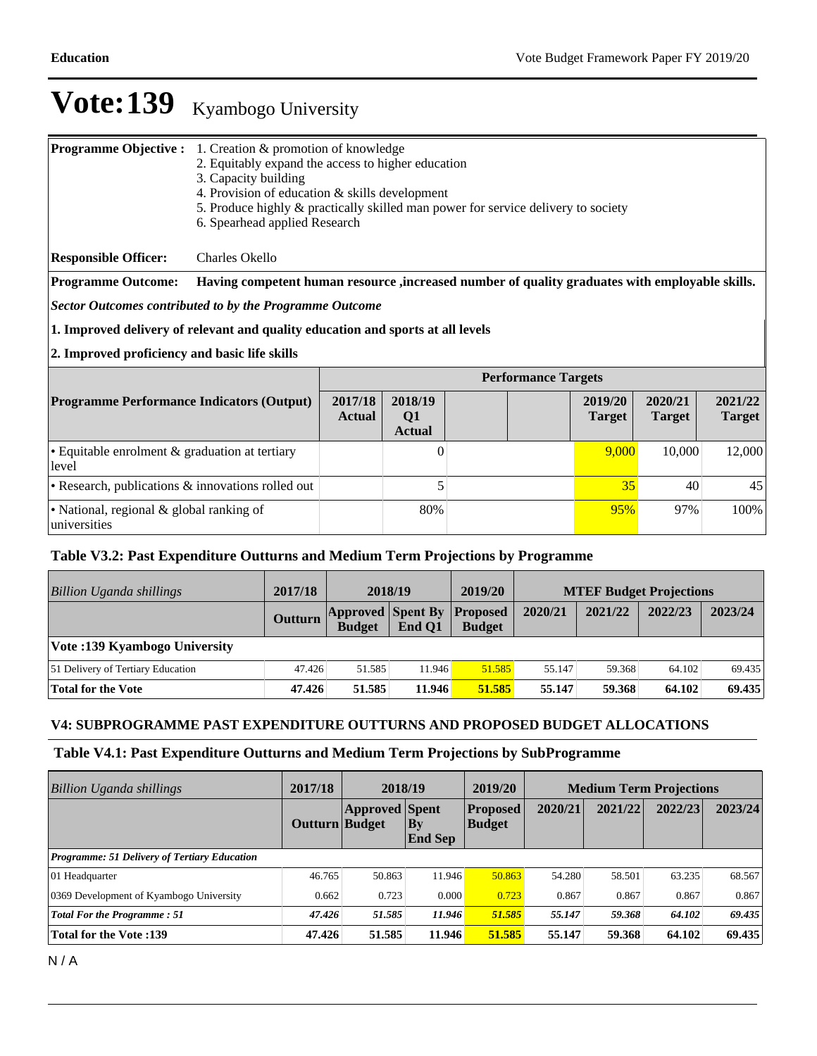| <b>Programme Objective:</b>                                                     | 1. Creation & promotion of knowledge<br>2. Equitably expand the access to higher education<br>3. Capacity building<br>4. Provision of education & skills development<br>5. Produce highly & practically skilled man power for service delivery to society<br>6. Spearhead applied Research |                          |                                            |  |     |                          |                          |                          |  |
|---------------------------------------------------------------------------------|--------------------------------------------------------------------------------------------------------------------------------------------------------------------------------------------------------------------------------------------------------------------------------------------|--------------------------|--------------------------------------------|--|-----|--------------------------|--------------------------|--------------------------|--|
| <b>Responsible Officer:</b>                                                     | Charles Okello                                                                                                                                                                                                                                                                             |                          |                                            |  |     |                          |                          |                          |  |
| <b>Programme Outcome:</b>                                                       | Having competent human resource , increased number of quality graduates with employable skills.                                                                                                                                                                                            |                          |                                            |  |     |                          |                          |                          |  |
|                                                                                 | <b>Sector Outcomes contributed to by the Programme Outcome</b>                                                                                                                                                                                                                             |                          |                                            |  |     |                          |                          |                          |  |
| 1. Improved delivery of relevant and quality education and sports at all levels |                                                                                                                                                                                                                                                                                            |                          |                                            |  |     |                          |                          |                          |  |
| 2. Improved proficiency and basic life skills                                   |                                                                                                                                                                                                                                                                                            |                          |                                            |  |     |                          |                          |                          |  |
|                                                                                 | <b>Performance Targets</b>                                                                                                                                                                                                                                                                 |                          |                                            |  |     |                          |                          |                          |  |
| <b>Programme Performance Indicators (Output)</b>                                |                                                                                                                                                                                                                                                                                            | 2017/18<br><b>Actual</b> | 2018/19<br>Q <sub>1</sub><br><b>Actual</b> |  |     | 2019/20<br><b>Target</b> | 2020/21<br><b>Target</b> | 2021/22<br><b>Target</b> |  |
| · Equitable enrolment & graduation at tertiary<br>level                         |                                                                                                                                                                                                                                                                                            |                          | $\Omega$                                   |  |     | 9,000                    | 10,000                   | 12,000                   |  |
| • Research, publications & innovations rolled out                               |                                                                                                                                                                                                                                                                                            | 5                        |                                            |  | 35  | 40                       | 45                       |                          |  |
| • National, regional & global ranking of<br>universities                        |                                                                                                                                                                                                                                                                                            | 80%                      |                                            |  | 95% | 97%                      | 100%                     |                          |  |

### **Table V3.2: Past Expenditure Outturns and Medium Term Projections by Programme**

| Billion Uganda shillings          | 2017/18        | 2018/19       |                                             | 2019/20       | <b>MTEF Budget Projections</b> |         |         |         |
|-----------------------------------|----------------|---------------|---------------------------------------------|---------------|--------------------------------|---------|---------|---------|
|                                   | <b>Outturn</b> | <b>Budget</b> | <b>Approved Spent By Proposed</b><br>End O1 | <b>Budget</b> | 2020/21                        | 2021/22 | 2022/23 | 2023/24 |
| Vote: 139 Kyambogo University     |                |               |                                             |               |                                |         |         |         |
| 51 Delivery of Tertiary Education | 47.426         | 51.585        | 11.946                                      | 51.585        | 55.147                         | 59.368  | 64.102  | 69.435  |
| Total for the Vote                | 47.426         | 51.585        | 11.946                                      | 51.585        | 55.147                         | 59.368  | 64.102  | 69.435  |

### **V4: SUBPROGRAMME PAST EXPENDITURE OUTTURNS AND PROPOSED BUDGET ALLOCATIONS**

#### **Table V4.1: Past Expenditure Outturns and Medium Term Projections by SubProgramme**

| Billion Uganda shillings                            | 2017/18               |                       | 2018/19                       | 2019/20                          |         | <b>Medium Term Projections</b> |         |         |
|-----------------------------------------------------|-----------------------|-----------------------|-------------------------------|----------------------------------|---------|--------------------------------|---------|---------|
|                                                     | <b>Outturn Budget</b> | <b>Approved Spent</b> | $ {\bf By}$<br><b>End Sep</b> | <b>Proposed</b><br><b>Budget</b> | 2020/21 | 2021/22                        | 2022/23 | 2023/24 |
| <b>Programme: 51 Delivery of Tertiary Education</b> |                       |                       |                               |                                  |         |                                |         |         |
| 01 Headquarter                                      | 46.765                | 50.863                | 11.946                        | 50.863                           | 54.280  | 58.501                         | 63.235  | 68.567  |
| 0369 Development of Kyambogo University             | 0.662                 | 0.723                 | 0.000                         | 0.723                            | 0.867   | 0.867                          | 0.867   | 0.867   |
| <b>Total For the Programme: 51</b>                  | 47.426                | 51.585                | 11.946                        | 51.585                           | 55.147  | 59.368                         | 64.102  | 69.435  |
| Total for the Vote :139                             | 47.426                | 51.585                | 11.946                        | 51.585                           | 55.147  | 59.368                         | 64.102  | 69.435  |

N / A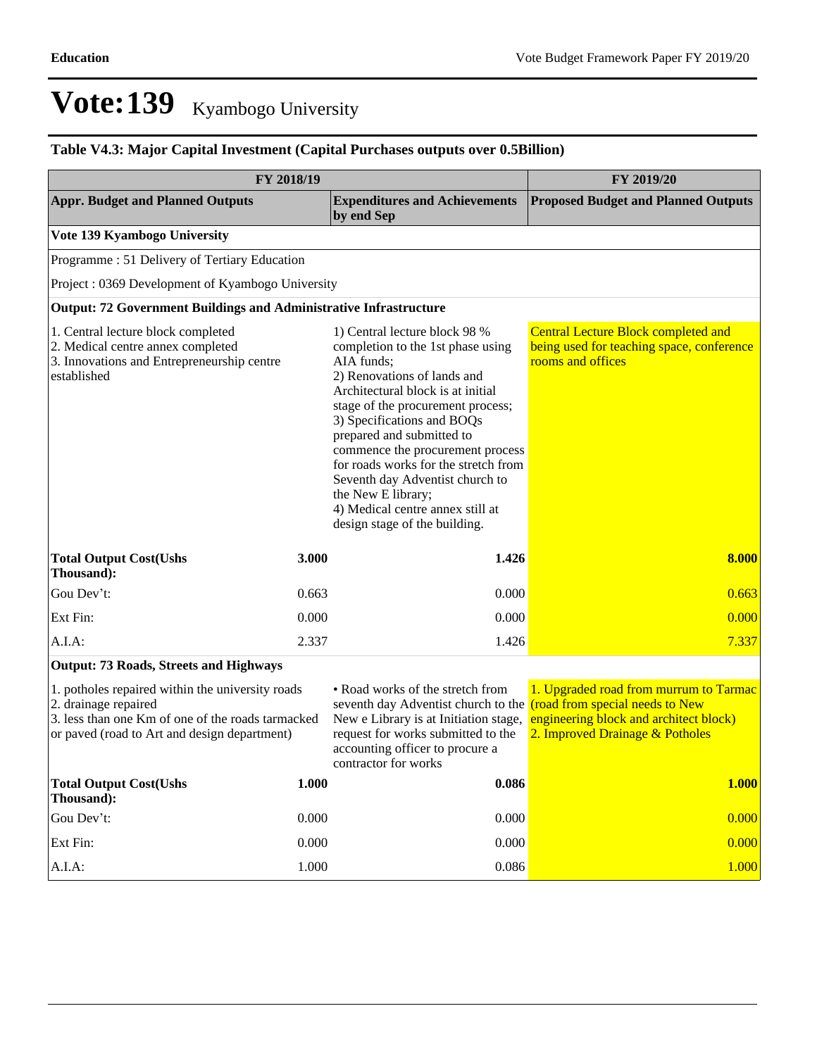### **Table V4.3: Major Capital Investment (Capital Purchases outputs over 0.5Billion)**

| FY 2018/19                                                                                                                                                                    | FY 2019/20 |                                                                                                                                                                                                                                                                                                                                                                                                                                                                |                                                                                                                     |  |
|-------------------------------------------------------------------------------------------------------------------------------------------------------------------------------|------------|----------------------------------------------------------------------------------------------------------------------------------------------------------------------------------------------------------------------------------------------------------------------------------------------------------------------------------------------------------------------------------------------------------------------------------------------------------------|---------------------------------------------------------------------------------------------------------------------|--|
| <b>Appr. Budget and Planned Outputs</b>                                                                                                                                       |            | <b>Expenditures and Achievements</b><br>by end Sep                                                                                                                                                                                                                                                                                                                                                                                                             | <b>Proposed Budget and Planned Outputs</b>                                                                          |  |
| Vote 139 Kyambogo University                                                                                                                                                  |            |                                                                                                                                                                                                                                                                                                                                                                                                                                                                |                                                                                                                     |  |
| Programme: 51 Delivery of Tertiary Education                                                                                                                                  |            |                                                                                                                                                                                                                                                                                                                                                                                                                                                                |                                                                                                                     |  |
| Project: 0369 Development of Kyambogo University                                                                                                                              |            |                                                                                                                                                                                                                                                                                                                                                                                                                                                                |                                                                                                                     |  |
| Output: 72 Government Buildings and Administrative Infrastructure                                                                                                             |            |                                                                                                                                                                                                                                                                                                                                                                                                                                                                |                                                                                                                     |  |
| 1. Central lecture block completed<br>2. Medical centre annex completed<br>3. Innovations and Entrepreneurship centre<br>established                                          |            | 1) Central lecture block 98 %<br>completion to the 1st phase using<br>AIA funds;<br>2) Renovations of lands and<br>Architectural block is at initial<br>stage of the procurement process;<br>3) Specifications and BOQs<br>prepared and submitted to<br>commence the procurement process<br>for roads works for the stretch from<br>Seventh day Adventist church to<br>the New E library;<br>4) Medical centre annex still at<br>design stage of the building. | <b>Central Lecture Block completed and</b><br>being used for teaching space, conference<br>rooms and offices        |  |
| <b>Total Output Cost(Ushs</b><br>Thousand):                                                                                                                                   | 3.000      | 1.426                                                                                                                                                                                                                                                                                                                                                                                                                                                          | 8.000                                                                                                               |  |
| Gou Dev't:                                                                                                                                                                    | 0.663      | 0.000                                                                                                                                                                                                                                                                                                                                                                                                                                                          | 0.663                                                                                                               |  |
| Ext Fin:                                                                                                                                                                      | 0.000      | 0.000                                                                                                                                                                                                                                                                                                                                                                                                                                                          | 0.000                                                                                                               |  |
| $A.I.A$ :                                                                                                                                                                     | 2.337      | 1.426                                                                                                                                                                                                                                                                                                                                                                                                                                                          | 7.337                                                                                                               |  |
| <b>Output: 73 Roads, Streets and Highways</b>                                                                                                                                 |            |                                                                                                                                                                                                                                                                                                                                                                                                                                                                |                                                                                                                     |  |
| 1. potholes repaired within the university roads<br>2. drainage repaired<br>3. less than one Km of one of the roads tarmacked<br>or paved (road to Art and design department) |            | • Road works of the stretch from<br>seventh day Adventist church to the (road from special needs to New<br>New e Library is at Initiation stage,<br>request for works submitted to the<br>accounting officer to procure a<br>contractor for works                                                                                                                                                                                                              | 1. Upgraded road from murrum to Tarmac<br>engineering block and architect block)<br>2. Improved Drainage & Potholes |  |
| <b>Total Output Cost(Ushs</b><br>Thousand):                                                                                                                                   | 1.000      | 0.086                                                                                                                                                                                                                                                                                                                                                                                                                                                          | 1.000                                                                                                               |  |
| Gou Dev't:                                                                                                                                                                    | 0.000      | 0.000                                                                                                                                                                                                                                                                                                                                                                                                                                                          | 0.000                                                                                                               |  |
| Ext Fin:                                                                                                                                                                      | 0.000      | 0.000                                                                                                                                                                                                                                                                                                                                                                                                                                                          | 0.000                                                                                                               |  |
| A.I.A:                                                                                                                                                                        | 1.000      | 0.086                                                                                                                                                                                                                                                                                                                                                                                                                                                          | 1.000                                                                                                               |  |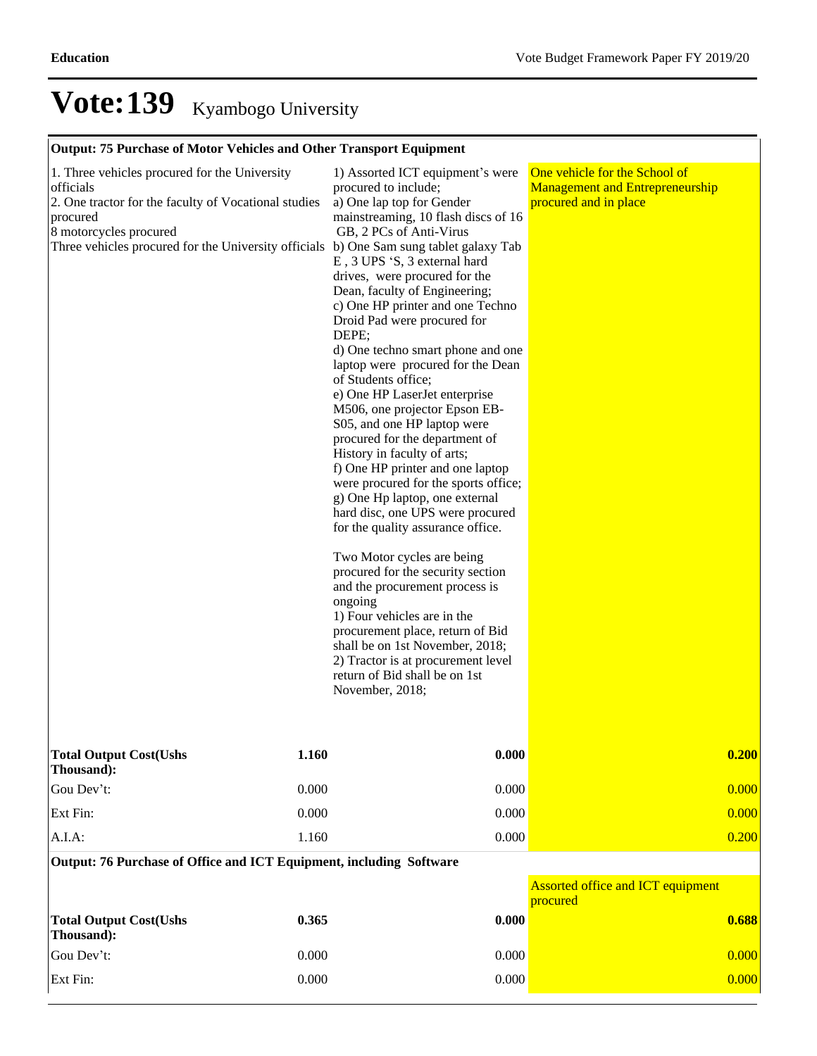### **Output: 75 Purchase of Motor Vehicles and Other Transport Equipment**

| 1. Three vehicles procured for the University<br>officials<br>2. One tractor for the faculty of Vocational studies<br>procured<br>8 motorcycles procured<br>Three vehicles procured for the University officials b) One Sam sung tablet galaxy Tab | 1) Assorted ICT equipment's were<br>procured to include;<br>a) One lap top for Gender<br>mainstreaming, 10 flash discs of 16<br>GB, 2 PCs of Anti-Virus<br>E, 3 UPS 'S, 3 external hard<br>drives, were procured for the<br>Dean, faculty of Engineering;<br>c) One HP printer and one Techno<br>Droid Pad were procured for<br>DEPE;<br>d) One techno smart phone and one<br>laptop were procured for the Dean<br>of Students office;<br>e) One HP LaserJet enterprise<br>M506, one projector Epson EB-<br>S05, and one HP laptop were<br>procured for the department of<br>History in faculty of arts;<br>f) One HP printer and one laptop<br>were procured for the sports office;<br>g) One Hp laptop, one external<br>hard disc, one UPS were procured<br>for the quality assurance office.<br>Two Motor cycles are being<br>procured for the security section<br>and the procurement process is<br>ongoing<br>1) Four vehicles are in the<br>procurement place, return of Bid<br>shall be on 1st November, 2018;<br>2) Tractor is at procurement level<br>return of Bid shall be on 1st<br>November, 2018; | One vehicle for the School of<br><b>Management and Entrepreneurship</b><br>procured and in place |       |
|----------------------------------------------------------------------------------------------------------------------------------------------------------------------------------------------------------------------------------------------------|-----------------------------------------------------------------------------------------------------------------------------------------------------------------------------------------------------------------------------------------------------------------------------------------------------------------------------------------------------------------------------------------------------------------------------------------------------------------------------------------------------------------------------------------------------------------------------------------------------------------------------------------------------------------------------------------------------------------------------------------------------------------------------------------------------------------------------------------------------------------------------------------------------------------------------------------------------------------------------------------------------------------------------------------------------------------------------------------------------------------|--------------------------------------------------------------------------------------------------|-------|
| <b>Total Output Cost(Ushs</b><br>Thousand):                                                                                                                                                                                                        | 1.160                                                                                                                                                                                                                                                                                                                                                                                                                                                                                                                                                                                                                                                                                                                                                                                                                                                                                                                                                                                                                                                                                                           | 0.000                                                                                            | 0.200 |
| Gou Dev't:                                                                                                                                                                                                                                         | 0.000                                                                                                                                                                                                                                                                                                                                                                                                                                                                                                                                                                                                                                                                                                                                                                                                                                                                                                                                                                                                                                                                                                           | 0.000                                                                                            | 0.000 |
| Ext Fin:                                                                                                                                                                                                                                           | 0.000                                                                                                                                                                                                                                                                                                                                                                                                                                                                                                                                                                                                                                                                                                                                                                                                                                                                                                                                                                                                                                                                                                           | 0.000                                                                                            | 0.000 |
| A.I.A:                                                                                                                                                                                                                                             | 1.160                                                                                                                                                                                                                                                                                                                                                                                                                                                                                                                                                                                                                                                                                                                                                                                                                                                                                                                                                                                                                                                                                                           | 0.000                                                                                            | 0.200 |
| Output: 76 Purchase of Office and ICT Equipment, including Software                                                                                                                                                                                |                                                                                                                                                                                                                                                                                                                                                                                                                                                                                                                                                                                                                                                                                                                                                                                                                                                                                                                                                                                                                                                                                                                 |                                                                                                  |       |
|                                                                                                                                                                                                                                                    |                                                                                                                                                                                                                                                                                                                                                                                                                                                                                                                                                                                                                                                                                                                                                                                                                                                                                                                                                                                                                                                                                                                 | <b>Assorted office and ICT equipment</b><br>procured                                             |       |
| <b>Total Output Cost(Ushs</b><br>Thousand):                                                                                                                                                                                                        | 0.365                                                                                                                                                                                                                                                                                                                                                                                                                                                                                                                                                                                                                                                                                                                                                                                                                                                                                                                                                                                                                                                                                                           | 0.000                                                                                            | 0.688 |
| Gou Dev't:                                                                                                                                                                                                                                         | 0.000                                                                                                                                                                                                                                                                                                                                                                                                                                                                                                                                                                                                                                                                                                                                                                                                                                                                                                                                                                                                                                                                                                           | 0.000                                                                                            | 0.000 |
| Ext Fin:                                                                                                                                                                                                                                           | 0.000                                                                                                                                                                                                                                                                                                                                                                                                                                                                                                                                                                                                                                                                                                                                                                                                                                                                                                                                                                                                                                                                                                           | 0.000                                                                                            | 0.000 |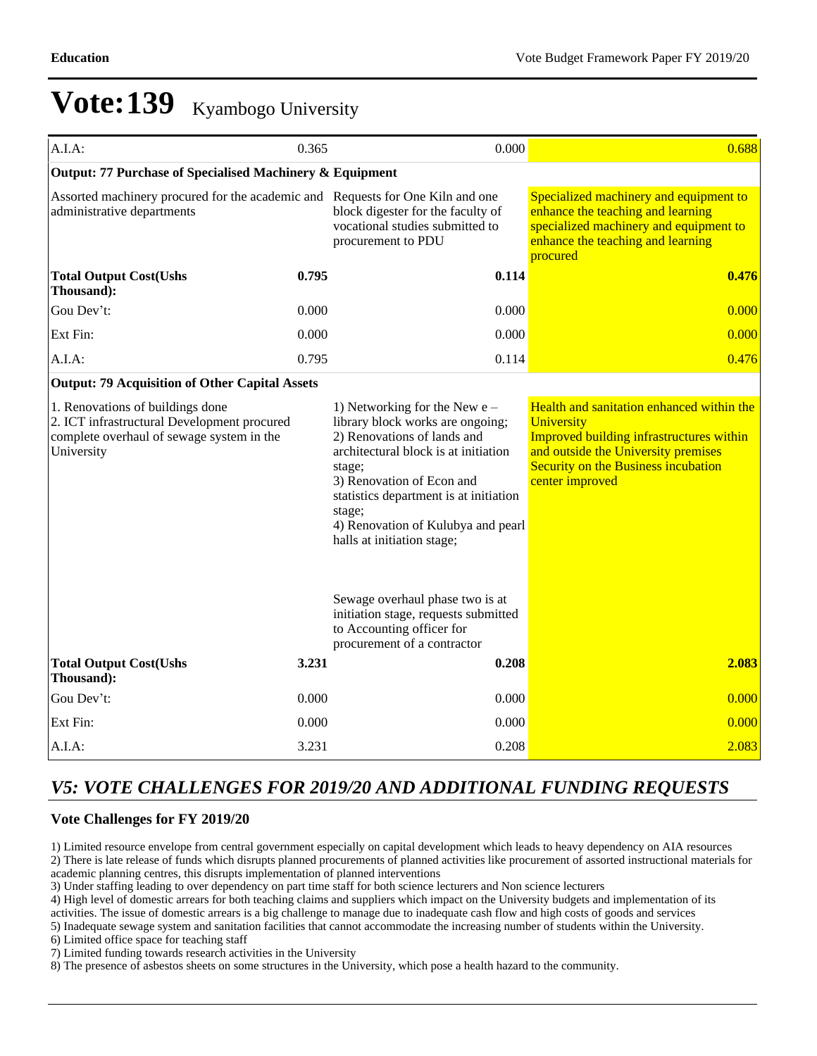| A.I.A:                                                                                                                                     | 0.365                                                                                                                                                                                                                                                                                                     | 0.000                                                                                                                               | 0.688                                                                                                                                                                                                |  |  |  |  |  |
|--------------------------------------------------------------------------------------------------------------------------------------------|-----------------------------------------------------------------------------------------------------------------------------------------------------------------------------------------------------------------------------------------------------------------------------------------------------------|-------------------------------------------------------------------------------------------------------------------------------------|------------------------------------------------------------------------------------------------------------------------------------------------------------------------------------------------------|--|--|--|--|--|
| Output: 77 Purchase of Specialised Machinery & Equipment                                                                                   |                                                                                                                                                                                                                                                                                                           |                                                                                                                                     |                                                                                                                                                                                                      |  |  |  |  |  |
| Assorted machinery procured for the academic and Requests for One Kiln and one<br>administrative departments                               |                                                                                                                                                                                                                                                                                                           | block digester for the faculty of<br>vocational studies submitted to<br>procurement to PDU                                          | Specialized machinery and equipment to<br>enhance the teaching and learning<br>specialized machinery and equipment to<br>enhance the teaching and learning<br>procured                               |  |  |  |  |  |
| <b>Total Output Cost(Ushs</b><br>Thousand):                                                                                                | 0.795                                                                                                                                                                                                                                                                                                     | 0.114                                                                                                                               | 0.476                                                                                                                                                                                                |  |  |  |  |  |
| Gou Dev't:                                                                                                                                 | 0.000                                                                                                                                                                                                                                                                                                     | 0.000                                                                                                                               | 0.000                                                                                                                                                                                                |  |  |  |  |  |
| Ext Fin:                                                                                                                                   | 0.000                                                                                                                                                                                                                                                                                                     | 0.000                                                                                                                               | 0.000                                                                                                                                                                                                |  |  |  |  |  |
| A.I.A:                                                                                                                                     | 0.795                                                                                                                                                                                                                                                                                                     | 0.114                                                                                                                               | 0.476                                                                                                                                                                                                |  |  |  |  |  |
| <b>Output: 79 Acquisition of Other Capital Assets</b>                                                                                      |                                                                                                                                                                                                                                                                                                           |                                                                                                                                     |                                                                                                                                                                                                      |  |  |  |  |  |
| 1. Renovations of buildings done<br>2. ICT infrastructural Development procured<br>complete overhaul of sewage system in the<br>University | 1) Networking for the New $e -$<br>library block works are ongoing;<br>2) Renovations of lands and<br>architectural block is at initiation<br>stage;<br>3) Renovation of Econ and<br>statistics department is at initiation<br>stage;<br>4) Renovation of Kulubya and pearl<br>halls at initiation stage; |                                                                                                                                     | Health and sanitation enhanced within the<br>University<br>Improved building infrastructures within<br>and outside the University premises<br>Security on the Business incubation<br>center improved |  |  |  |  |  |
|                                                                                                                                            |                                                                                                                                                                                                                                                                                                           | Sewage overhaul phase two is at<br>initiation stage, requests submitted<br>to Accounting officer for<br>procurement of a contractor |                                                                                                                                                                                                      |  |  |  |  |  |
| <b>Total Output Cost(Ushs</b><br>Thousand):                                                                                                | 3.231                                                                                                                                                                                                                                                                                                     | 0.208                                                                                                                               | 2.083                                                                                                                                                                                                |  |  |  |  |  |
| Gou Dev't:                                                                                                                                 | 0.000                                                                                                                                                                                                                                                                                                     | 0.000                                                                                                                               | 0.000                                                                                                                                                                                                |  |  |  |  |  |
| Ext Fin:                                                                                                                                   | 0.000                                                                                                                                                                                                                                                                                                     | 0.000                                                                                                                               | 0.000                                                                                                                                                                                                |  |  |  |  |  |
| A.I.A:                                                                                                                                     | 3.231                                                                                                                                                                                                                                                                                                     | 0.208                                                                                                                               | 2.083                                                                                                                                                                                                |  |  |  |  |  |

### *V5: VOTE CHALLENGES FOR 2019/20 AND ADDITIONAL FUNDING REQUESTS*

#### **Vote Challenges for FY 2019/20**

1) Limited resource envelope from central government especially on capital development which leads to heavy dependency on AIA resources 2) There is late release of funds which disrupts planned procurements of planned activities like procurement of assorted instructional materials for academic planning centres, this disrupts implementation of planned interventions

3) Under staffing leading to over dependency on part time staff for both science lecturers and Non science lecturers

4) High level of domestic arrears for both teaching claims and suppliers which impact on the University budgets and implementation of its activities. The issue of domestic arrears is a big challenge to manage due to inadequate cash flow and high costs of goods and services

5) Inadequate sewage system and sanitation facilities that cannot accommodate the increasing number of students within the University.

6) Limited office space for teaching staff

7) Limited funding towards research activities in the University

8) The presence of asbestos sheets on some structures in the University, which pose a health hazard to the community.